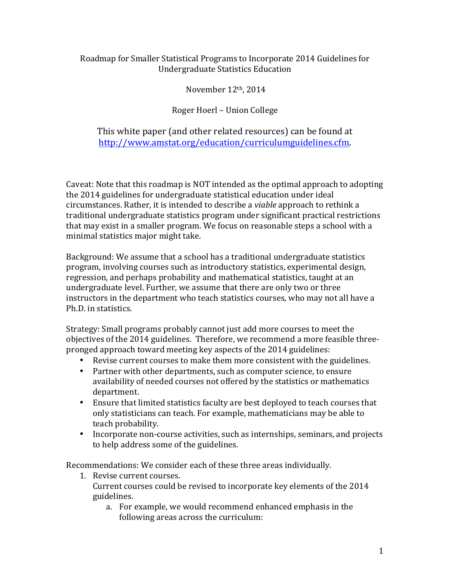## Roadmap for Smaller Statistical Programs to Incorporate 2014 Guidelines for Undergraduate Statistics Education

November 12th, 2014

## Roger Hoerl – Union College

This white paper (and other related resources) can be found at http://www.amstat.org/education/curriculumguidelines.cfm.

Caveat: Note that this roadmap is NOT intended as the optimal approach to adopting the 2014 guidelines for undergraduate statistical education under ideal circumstances. Rather, it is intended to describe a *viable* approach to rethink a traditional undergraduate statistics program under significant practical restrictions that may exist in a smaller program. We focus on reasonable steps a school with a minimal statistics major might take.

Background: We assume that a school has a traditional undergraduate statistics program, involving courses such as introductory statistics, experimental design, regression, and perhaps probability and mathematical statistics, taught at an undergraduate level. Further, we assume that there are only two or three instructors in the department who teach statistics courses, who may not all have a Ph.D. in statistics.

Strategy: Small programs probably cannot just add more courses to meet the objectives of the 2014 guidelines. Therefore, we recommend a more feasible threepronged approach toward meeting key aspects of the 2014 guidelines:

- Revise current courses to make them more consistent with the guidelines.
- Partner with other departments, such as computer science, to ensure availability of needed courses not offered by the statistics or mathematics department.
- Ensure that limited statistics faculty are best deployed to teach courses that only statisticians can teach. For example, mathematicians may be able to teach probability.
- Incorporate non-course activities, such as internships, seminars, and projects to help address some of the guidelines.

Recommendations: We consider each of these three areas individually.

- 1. Revise current courses. Current courses could be revised to incorporate key elements of the 2014 guidelines.
	- a. For example, we would recommend enhanced emphasis in the following areas across the curriculum: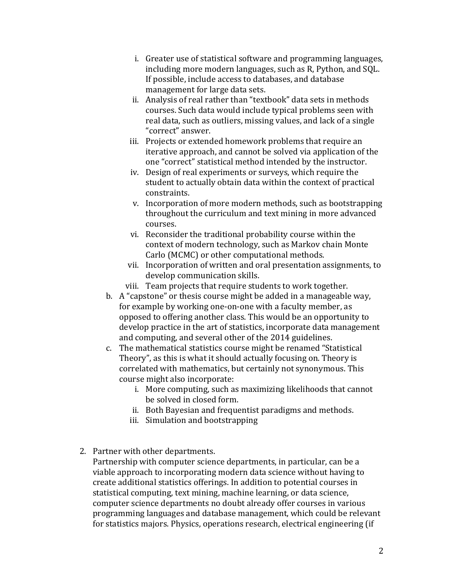- i. Greater use of statistical software and programming languages, including more modern languages, such as R, Python, and SQL. If possible, include access to databases, and database management for large data sets.
- ii. Analysis of real rather than "textbook" data sets in methods courses. Such data would include typical problems seen with real data, such as outliers, missing values, and lack of a single "correct" answer.
- iii. Projects or extended homework problems that require an iterative approach, and cannot be solved via application of the one "correct" statistical method intended by the instructor.
- iv. Design of real experiments or surveys, which require the student to actually obtain data within the context of practical constraints.
- v. Incorporation of more modern methods, such as bootstrapping throughout the curriculum and text mining in more advanced courses.
- vi. Reconsider the traditional probability course within the context of modern technology, such as Markov chain Monte Carlo (MCMC) or other computational methods.
- vii. Incorporation of written and oral presentation assignments, to develop communication skills.
- viii. Team projects that require students to work together.
- b. A "capstone" or thesis course might be added in a manageable way, for example by working one-on-one with a faculty member, as opposed to offering another class. This would be an opportunity to develop practice in the art of statistics, incorporate data management and computing, and several other of the 2014 guidelines.
- c. The mathematical statistics course might be renamed "Statistical Theory", as this is what it should actually focusing on. Theory is correlated with mathematics, but certainly not synonymous. This course might also incorporate:
	- i. More computing, such as maximizing likelihoods that cannot be solved in closed form.
	- ii. Both Bayesian and frequentist paradigms and methods.
	- iii. Simulation and bootstrapping
- 2. Partner with other departments.

Partnership with computer science departments, in particular, can be a viable approach to incorporating modern data science without having to create additional statistics offerings. In addition to potential courses in statistical computing, text mining, machine learning, or data science, computer science departments no doubt already offer courses in various programming languages and database management, which could be relevant for statistics majors. Physics, operations research, electrical engineering (if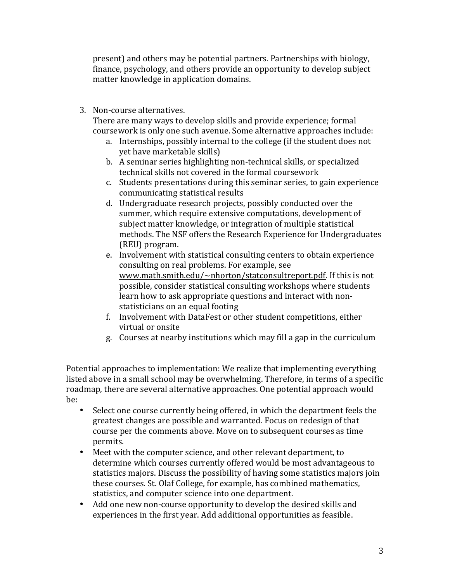present) and others may be potential partners. Partnerships with biology, finance, psychology, and others provide an opportunity to develop subject matter knowledge in application domains.

3. Non-course alternatives.

There are many ways to develop skills and provide experience; formal coursework is only one such avenue. Some alternative approaches include:

- a. Internships, possibly internal to the college (if the student does not yet have marketable skills)
- b. A seminar series highlighting non-technical skills, or specialized technical skills not covered in the formal coursework
- c. Students presentations during this seminar series, to gain experience communicating statistical results
- d. Undergraduate research projects, possibly conducted over the summer, which require extensive computations, development of subject matter knowledge, or integration of multiple statistical methods. The NSF offers the Research Experience for Undergraduates (REU) program.
- e. Involvement with statistical consulting centers to obtain experience consulting on real problems. For example, see www.math.smith.edu/~nhorton/statconsultreport.pdf. If this is not possible, consider statistical consulting workshops where students learn how to ask appropriate questions and interact with nonstatisticians on an equal footing
- f. Involvement with DataFest or other student competitions, either virtual or onsite
- g. Courses at nearby institutions which may fill a gap in the curriculum

Potential approaches to implementation: We realize that implementing everything listed above in a small school may be overwhelming. Therefore, in terms of a specific roadmap, there are several alternative approaches. One potential approach would be:

- Select one course currently being offered, in which the department feels the greatest changes are possible and warranted. Focus on redesign of that course per the comments above. Move on to subsequent courses as time permits.
- Meet with the computer science, and other relevant department, to determine which courses currently offered would be most advantageous to statistics majors. Discuss the possibility of having some statistics majors join these courses. St. Olaf College, for example, has combined mathematics, statistics, and computer science into one department.
- Add one new non-course opportunity to develop the desired skills and experiences in the first year. Add additional opportunities as feasible.